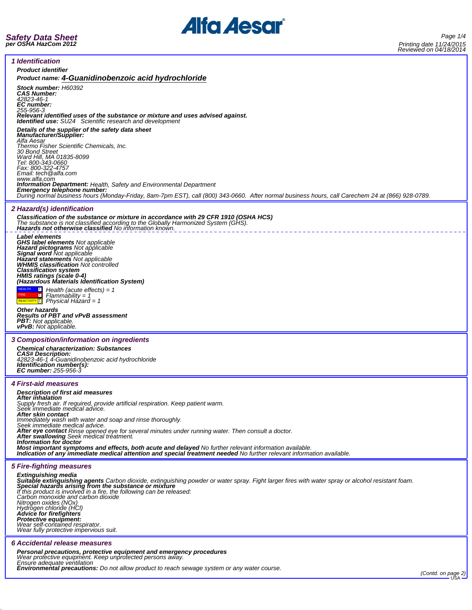

 $\overline{a}$ 

| Reviewed Off 04/10/2014                                                                                                                                                                                                         |  |  |  |  |
|---------------------------------------------------------------------------------------------------------------------------------------------------------------------------------------------------------------------------------|--|--|--|--|
| <i><b>1 Identification</b></i>                                                                                                                                                                                                  |  |  |  |  |
| <b>Product identifier</b><br>Product name: 4-Guanidinobenzoic acid hydrochloride                                                                                                                                                |  |  |  |  |
| Stock number: H60392                                                                                                                                                                                                            |  |  |  |  |
| <b>CAS Number:</b><br>42823-46-1                                                                                                                                                                                                |  |  |  |  |
| <b>EC</b> number:<br>255-956-3                                                                                                                                                                                                  |  |  |  |  |
| Relevant identified uses of the substance or mixture and uses advised against.<br><b>Identified use:</b> SU24 Scientific research and development                                                                               |  |  |  |  |
| Details of the supplier of the safety data sheet                                                                                                                                                                                |  |  |  |  |
| <b>Manufacturer/Supplier:</b><br>Alfa Aesar                                                                                                                                                                                     |  |  |  |  |
| Thermo Fisher Scientific Chemicals, Inc.<br>30 Bond Street                                                                                                                                                                      |  |  |  |  |
| Ward Hill, MA 01835-8099<br>Tel: 800-343-0660                                                                                                                                                                                   |  |  |  |  |
| Fax: 800-322-4757<br>Email: tech@alfa.com                                                                                                                                                                                       |  |  |  |  |
| www.alfa.com<br><b>Information Department:</b> Health, Safety and Environmental Department                                                                                                                                      |  |  |  |  |
| Emergency telephone number:<br>During normal business hours (Monday-Friday, 8am-7pm EST), call (800) 343-0660. After normal business hours, call Carechem 24 at (866) 928-0789.                                                 |  |  |  |  |
| 2 Hazard(s) identification                                                                                                                                                                                                      |  |  |  |  |
| Classification of the substance or mixture in accordance with 29 CFR 1910 (OSHA HCS)                                                                                                                                            |  |  |  |  |
| The substance is not classified according to the Globally Harmonized System (GHS).<br><b>Hazards not otherwise classified No information known.</b>                                                                             |  |  |  |  |
| Label elements<br><b>GHS label elements Not applicable</b>                                                                                                                                                                      |  |  |  |  |
| Hazard pictograms Not applicable<br>Signal word Not applicable                                                                                                                                                                  |  |  |  |  |
| <b>Hazard statements</b> Not applicable                                                                                                                                                                                         |  |  |  |  |
| <b>WHMIS classification Not controlled</b><br><b>Classification system</b>                                                                                                                                                      |  |  |  |  |
| HMIS ratings (scale 0-4)<br>(Hazardous Materials Identification System)                                                                                                                                                         |  |  |  |  |
| $\Box$ Health (acute effects) = 1<br>$Flammablity = 1$                                                                                                                                                                          |  |  |  |  |
| $R_{\text{EACTIVITY}1}$ Physical Hazard = 1                                                                                                                                                                                     |  |  |  |  |
| Other hazards<br><b>Results of PBT and vPvB assessment</b>                                                                                                                                                                      |  |  |  |  |
| <b>PBT:</b> Not applicable.<br><b>vPvB:</b> Not applicable.                                                                                                                                                                     |  |  |  |  |
| 3 Composition/information on ingredients                                                                                                                                                                                        |  |  |  |  |
| <b>Chemical characterization: Substances</b>                                                                                                                                                                                    |  |  |  |  |
| <b>CAS# Description:</b><br>42823-46-1 4-Guanidinobenzoic acid hydrochloride<br>Identification number(s):                                                                                                                       |  |  |  |  |
| <b>EC number:</b> 255-956-3                                                                                                                                                                                                     |  |  |  |  |
| <i><b>4 First-aid measures</b></i>                                                                                                                                                                                              |  |  |  |  |
| <b>Description of first aid measures</b><br>After inhalation                                                                                                                                                                    |  |  |  |  |
| Supply fresh air. If required, provide artificial respiration. Keep patient warm.<br>Seek immediate medical advice.                                                                                                             |  |  |  |  |
| After skin contact<br>Immediately wash with water and soap and rinse thoroughly.                                                                                                                                                |  |  |  |  |
| Seek immediate medical advice.<br>After eye contact Rinse opened eye for several minutes under running water. Then consult a doctor.                                                                                            |  |  |  |  |
| After swallowing Seek medical treatment.<br>Information for doctor                                                                                                                                                              |  |  |  |  |
| Most important symptoms and effects, both acute and delayed No further relevant information available.<br>Indication of any immediate medical attention and special treatment needed No further relevant information available. |  |  |  |  |
|                                                                                                                                                                                                                                 |  |  |  |  |
| <b>5 Fire-fighting measures</b><br><b>Extinguishing media</b>                                                                                                                                                                   |  |  |  |  |
| Suitable extinguishing agents Carbon dioxide, extinguishing powder or water spray. Fight larger fires with water spray or alcohol resistant foam.<br>Special hazards arising from the substance or mixture                      |  |  |  |  |
| If this product is involved in a fire, the following can be released:<br>Carbon monoxide and carbon dioxide                                                                                                                     |  |  |  |  |
| Nitrogen oxides (NOx)<br>Hydrogen chloride (HCl)                                                                                                                                                                                |  |  |  |  |
| Advice for firefighters<br>Protective equipment:                                                                                                                                                                                |  |  |  |  |
| Wear self-contained respirator.<br>Wear fully protective impervious suit.                                                                                                                                                       |  |  |  |  |
| 6 Accidental release measures                                                                                                                                                                                                   |  |  |  |  |
| Personal precautions, protective equipment and emergency procedures                                                                                                                                                             |  |  |  |  |
| Wear protective equipment. Keep unprotected persons away.<br>Ensure adequate ventilation                                                                                                                                        |  |  |  |  |
| <b>Environmental precautions:</b> Do not allow product to reach sewage system or any water course.<br>(Contd. on page 2)                                                                                                        |  |  |  |  |
|                                                                                                                                                                                                                                 |  |  |  |  |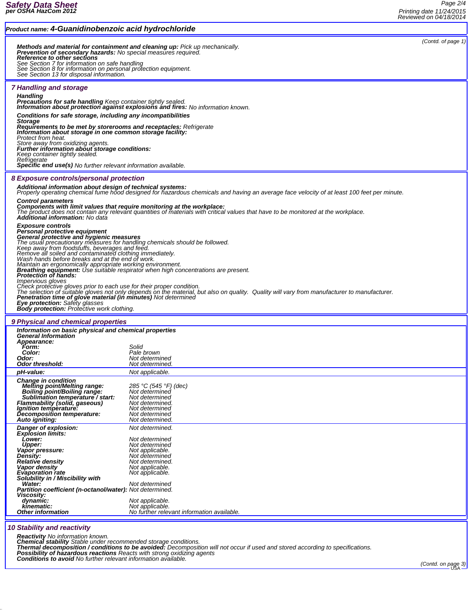|                                                                                                                                                                                                                                                                                                                                                                                                                                                                                                                                                                                                                                          |                                                                                                                                                                                                                                                                                                                    | <b>NEVIEWEG UIT U.H. TOIZUTS</b> |
|------------------------------------------------------------------------------------------------------------------------------------------------------------------------------------------------------------------------------------------------------------------------------------------------------------------------------------------------------------------------------------------------------------------------------------------------------------------------------------------------------------------------------------------------------------------------------------------------------------------------------------------|--------------------------------------------------------------------------------------------------------------------------------------------------------------------------------------------------------------------------------------------------------------------------------------------------------------------|----------------------------------|
| Product name: 4-Guanidinobenzoic acid hydrochloride                                                                                                                                                                                                                                                                                                                                                                                                                                                                                                                                                                                      |                                                                                                                                                                                                                                                                                                                    |                                  |
| Prevention of secondary hazards: No special measures required.<br>Reference to other sections<br>New York, New York, New York, New York, New York, New York, New York, New York, New York, New York, New York, New York, New York, New York, New York, New York, New York, New York, New York, New York, New York, New York, Ne<br>See Section 13 for disposal information.                                                                                                                                                                                                                                                              | Methods and material for containment and cleaning up: Pick up mechanically.                                                                                                                                                                                                                                        | (Contd. of page $1$ )            |
| 7 Handling and storage                                                                                                                                                                                                                                                                                                                                                                                                                                                                                                                                                                                                                   |                                                                                                                                                                                                                                                                                                                    |                                  |
| <b>Handling</b><br><b>Precautions for safe handling Keep container tightly sealed.</b>                                                                                                                                                                                                                                                                                                                                                                                                                                                                                                                                                   | <b>Information about protection against explosions and fires:</b> No information known.                                                                                                                                                                                                                            |                                  |
| Conditions for safe storage, including any incompatibilities<br><b>Storage</b>                                                                                                                                                                                                                                                                                                                                                                                                                                                                                                                                                           |                                                                                                                                                                                                                                                                                                                    |                                  |
| <b>Requirements to be met by storerooms and receptacles:</b> Refrigerate<br>Information about storage in one common storage facility:<br>Protect from heat.<br>Store away from oxidizing agents.<br>Further information about storage conditions:                                                                                                                                                                                                                                                                                                                                                                                        |                                                                                                                                                                                                                                                                                                                    |                                  |
| Keep container tightly sealed.<br>Refrigerate                                                                                                                                                                                                                                                                                                                                                                                                                                                                                                                                                                                            |                                                                                                                                                                                                                                                                                                                    |                                  |
| <b>Specific end use(s)</b> No further relevant information available.                                                                                                                                                                                                                                                                                                                                                                                                                                                                                                                                                                    |                                                                                                                                                                                                                                                                                                                    |                                  |
| 8 Exposure controls/personal protection                                                                                                                                                                                                                                                                                                                                                                                                                                                                                                                                                                                                  |                                                                                                                                                                                                                                                                                                                    |                                  |
| Additional information about design of technical systems:                                                                                                                                                                                                                                                                                                                                                                                                                                                                                                                                                                                | Properly operating chemical fume hood designed for hazardous chemicals and having an average face velocity of at least 100 feet per minute.                                                                                                                                                                        |                                  |
| <b>Control parameters</b><br>Components with limit values that require monitoring at the workplace:<br><b>Additional information: No data</b>                                                                                                                                                                                                                                                                                                                                                                                                                                                                                            | The product does not contain any relevant quantities of materials with critical values that have to be monitored at the workplace.                                                                                                                                                                                 |                                  |
| <b>Exposure controls</b><br>Personal protective equipment<br>General protective and hygienic measures<br>The usual precautionary measures for handling chemicals should be followed.<br>Keep away from foodstuffs, beverages and feed.<br>Remove all soiled and contaminated clothing immediately.<br>Wash hands before breaks and at the end of work.<br>Maintain an ergonomically appropriate working environment.<br>Protection of hands:<br><i><b>Impervious gloves</b></i><br>Penetration time of glove material (in minutes) Not determined<br>Eye protection: Safety glasses<br><b>Body protection:</b> Protective work clothing. | <b>Breathing equipment:</b> Use suitable respirator when high concentrations are present.<br>Check protective gloves prior to each use for their proper condition.<br>The selection of suitable gloves not only depends on the material, but also on quality. Quality will vary from manufacturer to manufacturer. |                                  |
| 9 Physical and chemical properties                                                                                                                                                                                                                                                                                                                                                                                                                                                                                                                                                                                                       |                                                                                                                                                                                                                                                                                                                    |                                  |
| Information on basic physical and chemical properties<br><b>General Information</b><br>Appearance:<br>Form:                                                                                                                                                                                                                                                                                                                                                                                                                                                                                                                              | Solid                                                                                                                                                                                                                                                                                                              |                                  |
| Color:<br>Odor:                                                                                                                                                                                                                                                                                                                                                                                                                                                                                                                                                                                                                          | Pale brown<br>Not determined                                                                                                                                                                                                                                                                                       |                                  |
| Odor threshold:                                                                                                                                                                                                                                                                                                                                                                                                                                                                                                                                                                                                                          | <i>Not determined.</i>                                                                                                                                                                                                                                                                                             |                                  |
| pH-value:<br><b>Change in condition</b>                                                                                                                                                                                                                                                                                                                                                                                                                                                                                                                                                                                                  | Not applicable.                                                                                                                                                                                                                                                                                                    |                                  |
| merling point/Melting range:<br>Boiling point/Boiling range:<br>Sublimation temperature / start:<br><b>Flammability (solid, gaseous)</b><br>Ignition temperature:<br>Decomposition temperature:<br>Auto igniting:                                                                                                                                                                                                                                                                                                                                                                                                                        | 285 °C (545 °F) (dec)<br>Not determined<br>Not determined<br>Not determined.<br>Not determined<br>Not determined<br>Not determined.                                                                                                                                                                                |                                  |
| Danger of explosion:<br>Explosion limits:                                                                                                                                                                                                                                                                                                                                                                                                                                                                                                                                                                                                | Not determined.<br>Not determined                                                                                                                                                                                                                                                                                  |                                  |

| Danger of explosion:                                            | <i>INOt determined.</i>                    |
|-----------------------------------------------------------------|--------------------------------------------|
| <b>Explosion limits:</b>                                        |                                            |
| <b>Lower:</b>                                                   | Not determined                             |
| Upper:                                                          | Not determined                             |
| Vapor pressure:                                                 | Not applicable.                            |
| <b>Density:</b>                                                 | Not determined                             |
| Relative density                                                | Not determined.                            |
| Vapor density                                                   | Not applicable.                            |
| <b>Evaporation rate</b>                                         | Not applicable.                            |
| Solubility in / Miscibility with                                |                                            |
| Water:                                                          | Not determined                             |
| <b>Partition coefficient (n-octanol/water):</b> Not determined. |                                            |
| <b>Viscosity:</b>                                               |                                            |
| dynamic:                                                        | Not applicable.                            |
| kinematic:                                                      | Not applicable.                            |
| <b>Other information</b>                                        | No further relevant information available. |
|                                                                 |                                            |

## *10 Stability and reactivity*

**Reactivity** No information known.<br>Chemical stability Stable under recommended storage conditions.<br>Thermal decomposition / conditions to be avoided: Decomposition will not occur if used and stored according to specificatio

*(Contd. on page 3)*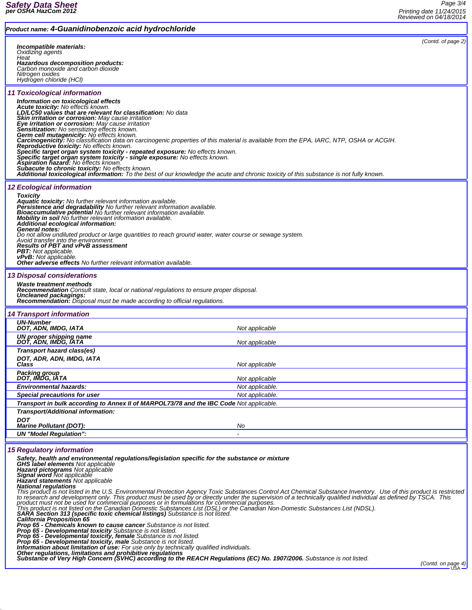| Product name: 4-Guanidinobenzoic acid hydrochloride                                                                                                                                                                                                                                                                                    |
|----------------------------------------------------------------------------------------------------------------------------------------------------------------------------------------------------------------------------------------------------------------------------------------------------------------------------------------|
| (Contd. of page 2)                                                                                                                                                                                                                                                                                                                     |
| Incompatible materials:<br>Oxidizing agents<br>Heat                                                                                                                                                                                                                                                                                    |
| Hazardous decomposition products:                                                                                                                                                                                                                                                                                                      |
| Carbon monoxide and carbon dioxide<br>Nitrogen oxides                                                                                                                                                                                                                                                                                  |
| Hydrogen chloride (HCl)                                                                                                                                                                                                                                                                                                                |
| 11 Toxicological information                                                                                                                                                                                                                                                                                                           |
| Information on toxicological effects<br><b>Acute toxicity:</b> No effects known.                                                                                                                                                                                                                                                       |
| LD/LC50 values that are relevant for classification: No data<br>Skin irritation or corrosion: May cause irritation                                                                                                                                                                                                                     |
| Eye irritation or corrosion: May cause irritation<br>Sensitization: No sensitizing effects known.                                                                                                                                                                                                                                      |
| Germ cell mutagenicity: No effects known.<br>Carcinogenicity: No classification data on carcinogenic properties of this material is available from the EPA, IARC, NTP, OSHA or ACGIH.                                                                                                                                                  |
| Reproductive toxicity: No effects known.<br>Specific target organ system toxicity - repeated exposure: No effects known.                                                                                                                                                                                                               |
| Specific target organ system toxicity - single exposure: No effects known.<br><b>Aspiration hazard:</b> No effects known.                                                                                                                                                                                                              |
| Subacute to chronic toxicity: No effects known.<br>Additional toxicological information: To the best of our knowledge the acute and chronic toxicity of this substance is not fully known.                                                                                                                                             |
|                                                                                                                                                                                                                                                                                                                                        |
| <b>12 Ecological information</b><br><b>Toxicity</b>                                                                                                                                                                                                                                                                                    |
| Aquatic toxicity: No further relevant information available.                                                                                                                                                                                                                                                                           |
| Persistence and degradability No further relevant information available.<br>Bioaccumulative potential No further relevant information available.                                                                                                                                                                                       |
| <b>Mobility in soil</b> No further relevant information available.<br>Additional ecological information:                                                                                                                                                                                                                               |
| General notes:<br>Do not allow undiluted product or large quantities to reach ground water, water course or sewage system.                                                                                                                                                                                                             |
| Avoid transfer into the environment.<br><b>Results of PBT and vPvB assessment</b>                                                                                                                                                                                                                                                      |
| <b>PBT:</b> Not applicable.<br><b>vPvB:</b> Not applicable.                                                                                                                                                                                                                                                                            |
| <b>Other adverse effects</b> No further relevant information available.                                                                                                                                                                                                                                                                |
| <b>13 Disposal considerations</b>                                                                                                                                                                                                                                                                                                      |
| Waste treatment methods<br><b>Recommendation</b> Consult state, local or national regulations to ensure proper disposal.                                                                                                                                                                                                               |
| Uncleaned packagings:<br><b>Recommendation:</b> Disposal must be made according to official regulations.                                                                                                                                                                                                                               |
| <b>14 Transport information</b>                                                                                                                                                                                                                                                                                                        |
| <b>UN-Number</b>                                                                                                                                                                                                                                                                                                                       |
| Not applicable<br>DOT, ADN, IMDG, IATA<br>UN proper shipping name                                                                                                                                                                                                                                                                      |
| DOT, ADN, IMDG, IATA<br>Not applicable<br>Transport hazard class(es)                                                                                                                                                                                                                                                                   |
| DOT, ADR, ADN, IMDG, IATA                                                                                                                                                                                                                                                                                                              |
| Not applicable<br>Class<br>Packing group                                                                                                                                                                                                                                                                                               |
| DOT, IMDG, IATA<br>Not applicable                                                                                                                                                                                                                                                                                                      |
| <b>Environmental hazards:</b><br>Not applicable.                                                                                                                                                                                                                                                                                       |
| <b>Special precautions for user</b><br>Not applicable.<br>Transport in bulk according to Annex II of MARPOL73/78 and the IBC Code Not applicable.                                                                                                                                                                                      |
| Transport/Additional information:                                                                                                                                                                                                                                                                                                      |
| <b>DOT</b><br><b>Marine Pollutant (DOT):</b><br>No                                                                                                                                                                                                                                                                                     |
| <b>UN "Model Requiation":</b>                                                                                                                                                                                                                                                                                                          |
|                                                                                                                                                                                                                                                                                                                                        |
| <b>15 Regulatory information</b><br>Safety, health and environmental regulations/legislation specific for the substance or mixture                                                                                                                                                                                                     |
| <b>GHS label elements Not applicable</b>                                                                                                                                                                                                                                                                                               |
| Hazard pictograms Not applicable<br>Signal word Not applicable                                                                                                                                                                                                                                                                         |
| Hazard statements Not applicable<br><b>National regulations</b>                                                                                                                                                                                                                                                                        |
| This product is not listed in the U.S. Environmental Protection Agency Toxic Substances Control Act Chemical Substance Inventory. Use of this product is restricted<br>to research and development only. This product must be used by or directly under the supervision of a technically qualified individual as defined by TSCA. This |
| product must not be used for commercial purposes or in formulations for commercial purposes.<br>This product is not listed on the Canadian Domestic Substances List (DSL) or the Canadian Non-Domestic Substances List (NDSL).                                                                                                         |
| SARA Section 313 (specific toxic chemical listings) Substance is not listed.<br>California Proposition 65                                                                                                                                                                                                                              |
| Prop 65 - Chemicals known to cause cancer Substance is not listed.<br>Prop 65 - Developmental toxicity Substance is not listed.                                                                                                                                                                                                        |
| <b>Prop 65 - Developmental toxicity, female</b> Substance is not listed.<br><b>Prop 65 - Developmental toxicity, male</b> Substance is not listed.                                                                                                                                                                                     |
| <b>Information about limitation of use:</b> For use only by technically qualified individuals.                                                                                                                                                                                                                                         |
| ntituding the regulations, limitations and prohibitive regulations<br>Substance of Very High Concern (SVHC) according to the REACH Regulations (EC) No. 1907/2006. Substance is not listed.                                                                                                                                            |
| (Contd. on page 4)                                                                                                                                                                                                                                                                                                                     |